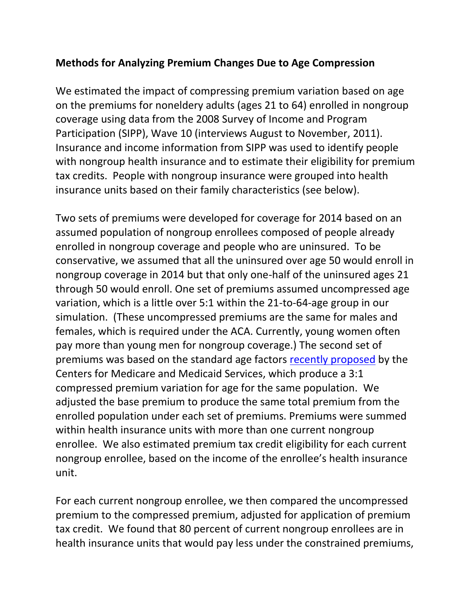## **Methods for Analyzing Premium Changes Due to Age Compression**

We estimated the impact of compressing premium variation based on age on the premiums for noneldery adults (ages 21 to 64) enrolled in nongroup coverage using data from the 2008 Survey of Income and Program Participation (SIPP), Wave 10 (interviews August to November, 2011). Insurance and income information from SIPP was used to identify people with nongroup health insurance and to estimate their eligibility for premium tax credits. People with nongroup insurance were grouped into health insurance units based on their family characteristics (see below).

Two sets of premiums were developed for coverage for 2014 based on an assumed population of nongroup enrollees composed of people already enrolled in nongroup coverage and people who are uninsured. To be conservative, we assumed that all the uninsured over age 50 would enroll in nongroup coverage in 2014 but that only one-half of the uninsured ages 21 through 50 would enroll. One set of premiums assumed uncompressed age variation, which is a little over 5:1 within the 21-to-64-age group in our simulation. (These uncompressed premiums are the same for males and females, which is required under the ACA. Currently, young women often pay more than young men for nongroup coverage.) The second set of premiums was based on the standard age factors [recently proposed](http://cciio.cms.gov/resources/files/market-rules-nprm-technical-summary-11-20-2012.pdf) by the Centers for Medicare and Medicaid Services, which produce a 3:1 compressed premium variation for age for the same population. We adjusted the base premium to produce the same total premium from the enrolled population under each set of premiums. Premiums were summed within health insurance units with more than one current nongroup enrollee. We also estimated premium tax credit eligibility for each current nongroup enrollee, based on the income of the enrollee's health insurance unit.

For each current nongroup enrollee, we then compared the uncompressed premium to the compressed premium, adjusted for application of premium tax credit. We found that 80 percent of current nongroup enrollees are in health insurance units that would pay less under the constrained premiums,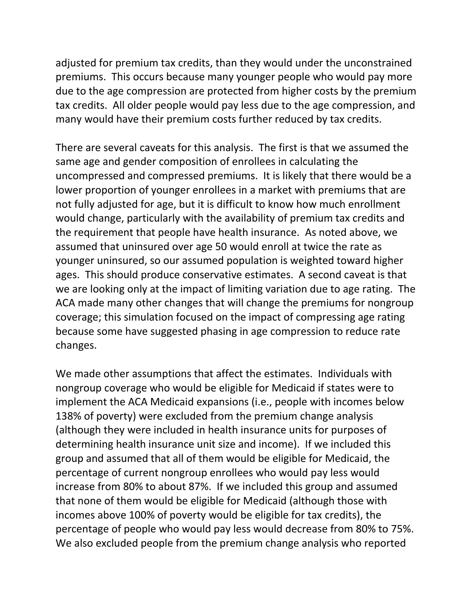adjusted for premium tax credits, than they would under the unconstrained premiums. This occurs because many younger people who would pay more due to the age compression are protected from higher costs by the premium tax credits. All older people would pay less due to the age compression, and many would have their premium costs further reduced by tax credits.

There are several caveats for this analysis. The first is that we assumed the same age and gender composition of enrollees in calculating the uncompressed and compressed premiums. It is likely that there would be a lower proportion of younger enrollees in a market with premiums that are not fully adjusted for age, but it is difficult to know how much enrollment would change, particularly with the availability of premium tax credits and the requirement that people have health insurance. As noted above, we assumed that uninsured over age 50 would enroll at twice the rate as younger uninsured, so our assumed population is weighted toward higher ages. This should produce conservative estimates. A second caveat is that we are looking only at the impact of limiting variation due to age rating. The ACA made many other changes that will change the premiums for nongroup coverage; this simulation focused on the impact of compressing age rating because some have suggested phasing in age compression to reduce rate changes.

We made other assumptions that affect the estimates. Individuals with nongroup coverage who would be eligible for Medicaid if states were to implement the ACA Medicaid expansions (i.e., people with incomes below 138% of poverty) were excluded from the premium change analysis (although they were included in health insurance units for purposes of determining health insurance unit size and income). If we included this group and assumed that all of them would be eligible for Medicaid, the percentage of current nongroup enrollees who would pay less would increase from 80% to about 87%. If we included this group and assumed that none of them would be eligible for Medicaid (although those with incomes above 100% of poverty would be eligible for tax credits), the percentage of people who would pay less would decrease from 80% to 75%. We also excluded people from the premium change analysis who reported